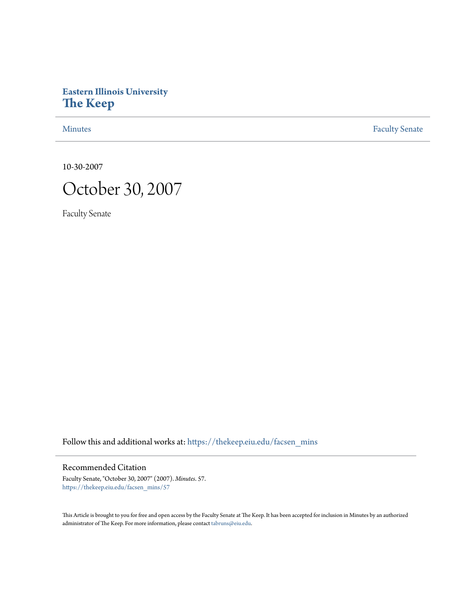# **Eastern Illinois University [The Keep](https://thekeep.eiu.edu?utm_source=thekeep.eiu.edu%2Ffacsen_mins%2F57&utm_medium=PDF&utm_campaign=PDFCoverPages)**

[Minutes](https://thekeep.eiu.edu/facsen_mins?utm_source=thekeep.eiu.edu%2Ffacsen_mins%2F57&utm_medium=PDF&utm_campaign=PDFCoverPages) **[Faculty Senate](https://thekeep.eiu.edu/fac_senate?utm_source=thekeep.eiu.edu%2Ffacsen_mins%2F57&utm_medium=PDF&utm_campaign=PDFCoverPages)** 

10-30-2007



Faculty Senate

Follow this and additional works at: [https://thekeep.eiu.edu/facsen\\_mins](https://thekeep.eiu.edu/facsen_mins?utm_source=thekeep.eiu.edu%2Ffacsen_mins%2F57&utm_medium=PDF&utm_campaign=PDFCoverPages)

#### Recommended Citation

Faculty Senate, "October 30, 2007" (2007). *Minutes*. 57. [https://thekeep.eiu.edu/facsen\\_mins/57](https://thekeep.eiu.edu/facsen_mins/57?utm_source=thekeep.eiu.edu%2Ffacsen_mins%2F57&utm_medium=PDF&utm_campaign=PDFCoverPages)

This Article is brought to you for free and open access by the Faculty Senate at The Keep. It has been accepted for inclusion in Minutes by an authorized administrator of The Keep. For more information, please contact [tabruns@eiu.edu.](mailto:tabruns@eiu.edu)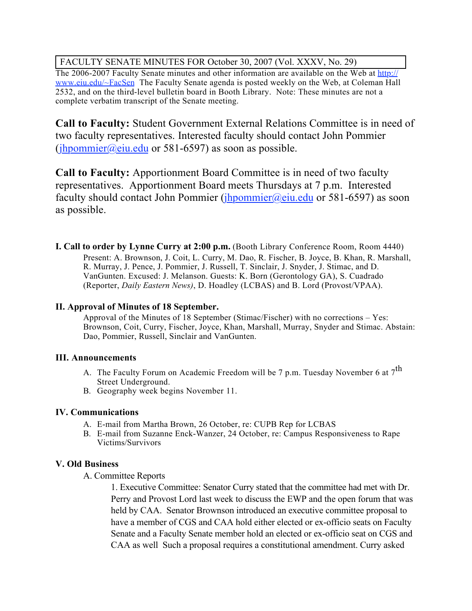## FACULTY SENATE MINUTES FOR October 30, 2007 (Vol. XXXV, No. 29)

The 2006-2007 Faculty Senate minutes and other information are available on the Web at http:// www.eiu.edu/~FacSen The Faculty Senate agenda is posted weekly on the Web, at Coleman Hall 2532, and on the third-level bulletin board in Booth Library. Note: These minutes are not a complete verbatim transcript of the Senate meeting.

**Call to Faculty:** Student Government External Relations Committee is in need of two faculty representatives. Interested faculty should contact John Pommier (ihpommier@eiu.edu or 581-6597) as soon as possible.

**Call to Faculty:** Apportionment Board Committee is in need of two faculty representatives. Apportionment Board meets Thursdays at 7 p.m. Interested faculty should contact John Pommier (*jhpommier@eiu.edu* or 581-6597) as soon as possible.

**I. Call to order by Lynne Curry at 2:00 p.m.** (Booth Library Conference Room, Room 4440) Present: A. Brownson, J. Coit, L. Curry, M. Dao, R. Fischer, B. Joyce, B. Khan, R. Marshall, R. Murray, J. Pence, J. Pommier, J. Russell, T. Sinclair, J. Snyder, J. Stimac, and D. VanGunten. Excused: J. Melanson. Guests: K. Born (Gerontology GA), S. Cuadrado (Reporter, *Daily Eastern News)*, D. Hoadley (LCBAS) and B. Lord (Provost/VPAA).

#### **II. Approval of Minutes of 18 September.**

Approval of the Minutes of 18 September (Stimac/Fischer) with no corrections – Yes: Brownson, Coit, Curry, Fischer, Joyce, Khan, Marshall, Murray, Snyder and Stimac. Abstain: Dao, Pommier, Russell, Sinclair and VanGunten.

## **III. Announcements**

- A. The Faculty Forum on Academic Freedom will be 7 p.m. Tuesday November 6 at  $7^{th}$ Street Underground.
- B. Geography week begins November 11.

## **IV. Communications**

- A. E-mail from Martha Brown, 26 October, re: CUPB Rep for LCBAS
- B. E-mail from Suzanne Enck-Wanzer, 24 October, re: Campus Responsiveness to Rape Victims/Survivors

## **V. Old Business**

A. Committee Reports

1. Executive Committee: Senator Curry stated that the committee had met with Dr. Perry and Provost Lord last week to discuss the EWP and the open forum that was held by CAA. Senator Brownson introduced an executive committee proposal to have a member of CGS and CAA hold either elected or ex-officio seats on Faculty Senate and a Faculty Senate member hold an elected or ex-officio seat on CGS and CAA as well Such a proposal requires a constitutional amendment. Curry asked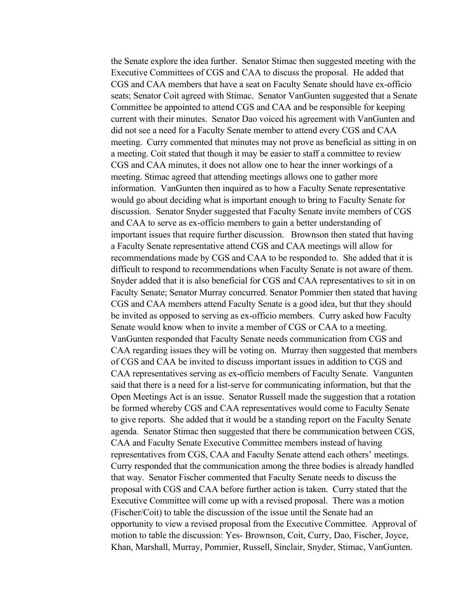the Senate explore the idea further. Senator Stimac then suggested meeting with the Executive Committees of CGS and CAA to discuss the proposal. He added that CGS and CAA members that have a seat on Faculty Senate should have ex-officio seats; Senator Coit agreed with Stimac. Senator VanGunten suggested that a Senate Committee be appointed to attend CGS and CAA and be responsible for keeping current with their minutes. Senator Dao voiced his agreement with VanGunten and did not see a need for a Faculty Senate member to attend every CGS and CAA meeting. Curry commented that minutes may not prove as beneficial as sitting in on a meeting. Coit stated that though it may be easier to staff a committee to review CGS and CAA minutes, it does not allow one to hear the inner workings of a meeting. Stimac agreed that attending meetings allows one to gather more information. VanGunten then inquired as to how a Faculty Senate representative would go about deciding what is important enough to bring to Faculty Senate for discussion. Senator Snyder suggested that Faculty Senate invite members of CGS and CAA to serve as ex-officio members to gain a better understanding of important issues that require further discussion. Brownson then stated that having a Faculty Senate representative attend CGS and CAA meetings will allow for recommendations made by CGS and CAA to be responded to. She added that it is difficult to respond to recommendations when Faculty Senate is not aware of them. Snyder added that it is also beneficial for CGS and CAA representatives to sit in on Faculty Senate; Senator Murray concurred. Senator Pommier then stated that having CGS and CAA members attend Faculty Senate is a good idea, but that they should be invited as opposed to serving as ex-officio members. Curry asked how Faculty Senate would know when to invite a member of CGS or CAA to a meeting. VanGunten responded that Faculty Senate needs communication from CGS and CAA regarding issues they will be voting on. Murray then suggested that members of CGS and CAA be invited to discuss important issues in addition to CGS and CAA representatives serving as ex-officio members of Faculty Senate. Vangunten said that there is a need for a list-serve for communicating information, but that the Open Meetings Act is an issue. Senator Russell made the suggestion that a rotation be formed whereby CGS and CAA representatives would come to Faculty Senate to give reports. She added that it would be a standing report on the Faculty Senate agenda. Senator Stimac then suggested that there be communication between CGS, CAA and Faculty Senate Executive Committee members instead of having representatives from CGS, CAA and Faculty Senate attend each others' meetings. Curry responded that the communication among the three bodies is already handled that way. Senator Fischer commented that Faculty Senate needs to discuss the proposal with CGS and CAA before further action is taken. Curry stated that the Executive Committee will come up with a revised proposal. There was a motion (Fischer/Coit) to table the discussion of the issue until the Senate had an opportunity to view a revised proposal from the Executive Committee. Approval of motion to table the discussion: Yes- Brownson, Coit, Curry, Dao, Fischer, Joyce, Khan, Marshall, Murray, Pommier, Russell, Sinclair, Snyder, Stimac, VanGunten.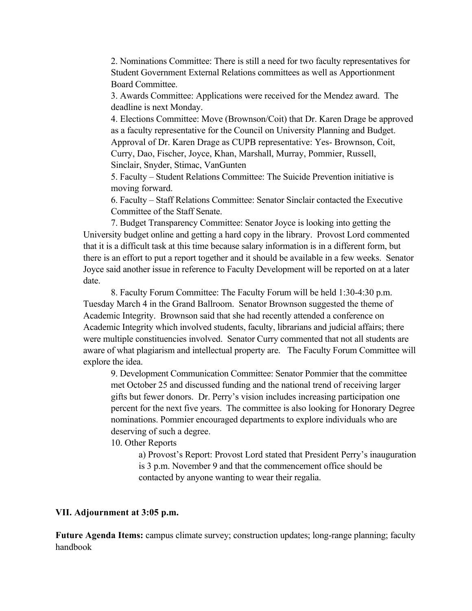2. Nominations Committee: There is still a need for two faculty representatives for Student Government External Relations committees as well as Apportionment Board Committee.

3. Awards Committee: Applications were received for the Mendez award. The deadline is next Monday.

4. Elections Committee: Move (Brownson/Coit) that Dr. Karen Drage be approved as a faculty representative for the Council on University Planning and Budget. Approval of Dr. Karen Drage as CUPB representative: Yes- Brownson, Coit, Curry, Dao, Fischer, Joyce, Khan, Marshall, Murray, Pommier, Russell, Sinclair, Snyder, Stimac, VanGunten

5. Faculty – Student Relations Committee: The Suicide Prevention initiative is moving forward.

6. Faculty – Staff Relations Committee: Senator Sinclair contacted the Executive Committee of the Staff Senate.

7. Budget Transparency Committee: Senator Joyce is looking into getting the University budget online and getting a hard copy in the library. Provost Lord commented that it is a difficult task at this time because salary information is in a different form, but there is an effort to put a report together and it should be available in a few weeks. Senator Joyce said another issue in reference to Faculty Development will be reported on at a later date.

8. Faculty Forum Committee: The Faculty Forum will be held 1:30-4:30 p.m. Tuesday March 4 in the Grand Ballroom. Senator Brownson suggested the theme of Academic Integrity. Brownson said that she had recently attended a conference on Academic Integrity which involved students, faculty, librarians and judicial affairs; there were multiple constituencies involved. Senator Curry commented that not all students are aware of what plagiarism and intellectual property are. The Faculty Forum Committee will explore the idea.

9. Development Communication Committee: Senator Pommier that the committee met October 25 and discussed funding and the national trend of receiving larger gifts but fewer donors. Dr. Perry's vision includes increasing participation one percent for the next five years. The committee is also looking for Honorary Degree nominations. Pommier encouraged departments to explore individuals who are deserving of such a degree.

10. Other Reports

a) Provost's Report: Provost Lord stated that President Perry's inauguration is 3 p.m. November 9 and that the commencement office should be contacted by anyone wanting to wear their regalia.

#### **VII. Adjournment at 3:05 p.m.**

**Future Agenda Items:** campus climate survey; construction updates; long-range planning; faculty handbook